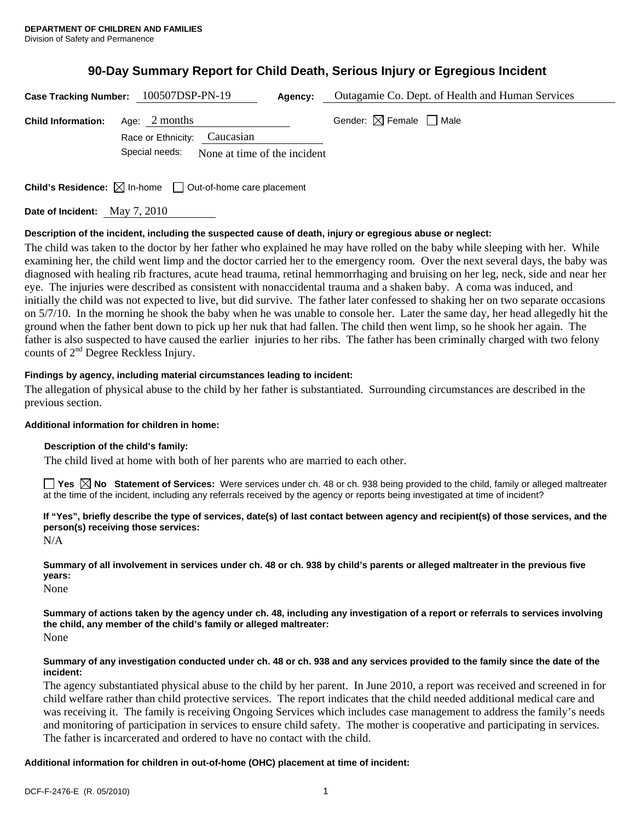# **90-Day Summary Report for Child Death, Serious Injury or Egregious Incident**

|                               | Case Tracking Number: 100507DSP-PN-19                                           | Outagamie Co. Dept. of Health and Human Services<br>Agency: |  |
|-------------------------------|---------------------------------------------------------------------------------|-------------------------------------------------------------|--|
| <b>Child Information:</b>     | Age: $2$ months                                                                 | Gender: $\boxtimes$ Female $\Box$ Male                      |  |
|                               | Caucasian<br>Race or Ethnicity:                                                 |                                                             |  |
|                               | Special needs:<br>None at time of the incident                                  |                                                             |  |
|                               | <b>Child's Residence:</b> $\boxtimes$ In-home $\Box$ Out-of-home care placement |                                                             |  |
| Date of Incident: May 7, 2010 |                                                                                 |                                                             |  |

**Description of the incident, including the suspected cause of death, injury or egregious abuse or neglect:**  The child was taken to the doctor by her father who explained he may have rolled on the baby while sleeping with her. While examining her, the child went limp and the doctor carried her to the emergency room. Over the next several days, the baby was diagnosed with healing rib fractures, acute head trauma, retinal hemmorrhaging and bruising on her leg, neck, side and near her eye. The injuries were described as consistent with nonaccidental trauma and a shaken baby. A coma was induced, and initially the child was not expected to live, but did survive. The father later confessed to shaking her on two separate occasions on 5/7/10. In the morning he shook the baby when he was unable to console her. Later the same day, her head allegedly hit the ground when the father bent down to pick up her nuk that had fallen. The child then went limp, so he shook her again. The father is also suspected to have caused the earlier injuries to her ribs. The father has been criminally charged with two felony counts of  $2<sup>nd</sup>$  Degree Reckless Injury.

# **Findings by agency, including material circumstances leading to incident:**

The allegation of physical abuse to the child by her father is substantiated. Surrounding circumstances are described in the previous section.

# **Additional information for children in home:**

# **Description of the child's family:**

The child lived at home with both of her parents who are married to each other.

**Yes**  $\boxtimes$  **No** Statement of Services: Were services under ch. 48 or ch. 938 being provided to the child, family or alleged maltreater at the time of the incident, including any referrals received by the agency or reports being investigated at time of incident?

**If "Yes", briefly describe the type of services, date(s) of last contact between agency and recipient(s) of those services, and the person(s) receiving those services:** 

N/A

**Summary of all involvement in services under ch. 48 or ch. 938 by child's parents or alleged maltreater in the previous five years:** 

None

**Summary of actions taken by the agency under ch. 48, including any investigation of a report or referrals to services involving the child, any member of the child's family or alleged maltreater:**  None

### **Summary of any investigation conducted under ch. 48 or ch. 938 and any services provided to the family since the date of the incident:**

The agency substantiated physical abuse to the child by her parent. In June 2010, a report was received and screened in for child welfare rather than child protective services. The report indicates that the child needed additional medical care and was receiving it. The family is receiving Ongoing Services which includes case management to address the family's needs and monitoring of participation in services to ensure child safety. The mother is cooperative and participating in services. The father is incarcerated and ordered to have no contact with the child.

# **Additional information for children in out-of-home (OHC) placement at time of incident:**